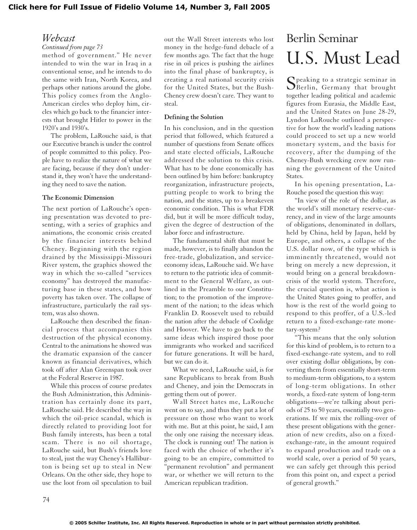### **[Click here for Full Issue of Fidelio Volume 14, Number 3, Fall 2005](http://schillerinstitute.org/fidelio_archive/2005/fidv14n03-2005Fa/index.html)**

## *Webcast*

#### *Continued from page 73*

method of government." He never intended to win the war in Iraq in a conventional sense, and he intends to do the same with Iran, North Korea, and perhaps other nations around the globe. This policy comes from the Anglo-American circles who deploy him, circles which go back to the financier interests that brought Hitler to power in the 1920's and 1930's.

The problem, LaRouche said, is that our Executive branch is under the control of people committed to this policy. People have to realize the nature of what we are facing, because if they don't understand it, they won't have the understanding they need to save the nation.

#### **The Economic Dimension**

The next portion of LaRouche's opening presentation was devoted to presenting, with a series of graphics and animations, the economic crisis created by the financier interests behind Cheney. Beginning with the region drained by the Mississippi-Missouri River system, the graphics showed the way in which the so-called "services economy" has destroyed the manufacturing base in these states, and how poverty has taken over. The collapse of infrastructure, particularly the rail system, was also shown.

LaRouche then described the financial process that accompanies this destruction of the physical economy. Central to the animations he showed was the dramatic expansion of the cancer known as financial derivatives, which took off after Alan Greenspan took over at the Federal Reserve in 1987.

While this process of course predates the Bush Administration, this Administration has certainly done its part, LaRouche said. He described the way in which the oil-price scandal, which is directly related to providing loot for Bush family interests, has been a total scam. There is no oil shortage, LaRouche said, but Bush's friends love to steal, just the way Cheney's Halliburton is being set up to steal in New Orleans. On the other side, they hope to use the loot from oil speculation to bail

out the Wall Street interests who lost money in the hedge-fund debacle of a few months ago. The fact that the huge rise in oil prices is pushing the airlines into the final phase of bankruptcy, is creating a real national security crisis for the United States, but the Bush-Cheney crew doesn't care. They want to steal.

#### **Defining the Solution**

In his conclusion, and in the question period that followed, which featured a number of questions from Senate offices and state elected officials, LaRouche addressed the solution to this crisis. What has to be done economically has been outlined by him before: bankruptcy reorganization, infrastructure projects, putting people to work to bring the nation, and the states, up to a breakeven economic condition. This is what FDR did, but it will be more difficult today, given the degree of destruction of the labor force and infrastructure.

The fundamental shift that must be made, however, is to finally abandon the free-trade, globalization, and serviceeconomy ideas, LaRouche said. We have to return to the patriotic idea of commitment to the General Welfare, as outlined in the Preamble to our Constitution; to the promotion of the improvement of the nation; to the ideas which Franklin D. Roosevelt used to rebuild the nation after the debacle of Coolidge and Hoover. We have to go back to the same ideas which inspired those poor immigrants who worked and sacrificed for future generations. It will be hard, but we can do it.

What we need, LaRouche said, is for sane Republicans to break from Bush and Cheney, and join the Democrats in getting them out of power.

Wall Street hates me, LaRouche went on to say, and thus they put a lot of pressure on those who want to work with me. But at this point, he said, I am the only one raising the necessary ideas. The clock is running out! The nation is faced with the choice of whether it's going to be an empire, committed to "permanent revolution" and permanent war, or whether we will return to the American republican tradition.

# Berlin Seminar U.S. Must Lead

Speaking to a strategic seminar in<br>Berlin, Germany that brought together leading political and academic figures from Eurasia, the Middle East, and the United States on June 28-29, Lyndon LaRouche outlined a perspective for how the world's leading nations could proceed to set up a new world monetary system, and the basis for recovery, after the dumping of the Cheney-Bush wrecking crew now running the government of the United States.

In his opening presentation, La-Rouche posed the question this way:

"In view of the role of the dollar, as the world's still monetary reserve-currency, and in view of the large amounts of obligations, denominated in dollars, held by China, held by Japan, held by Europe, and others, a collapse of the U.S. dollar now, of the type which is imminently threatened, would not bring on merely a new depression, it would bring on a general breakdowncrisis of the world system. Therefore, the crucial question is, what action is the United States going to proffer, and how is the rest of the world going to respond to this proffer, of a U.S.-led return to a fixed-exchange-rate monetary-system?

"This means that the only solution for this kind of problem, is to return to a fixed-exchange-rate system, and to roll over existing dollar obligations, by converting them from essentially short-term to medium-term obligations, to a system of long-term obligations. In other words, a fixed-rate system of long-term obligations—we're talking about periods of 25 to 50 years, essentially two generations. If we mix the rolling-over of these present obligations with the generation of new credits, also on a fixedexchange-rate, in the amount required to expand production and trade on a world scale, over a period of 50 years, we can safely get through this period from this point on, and expect a period of general growth."